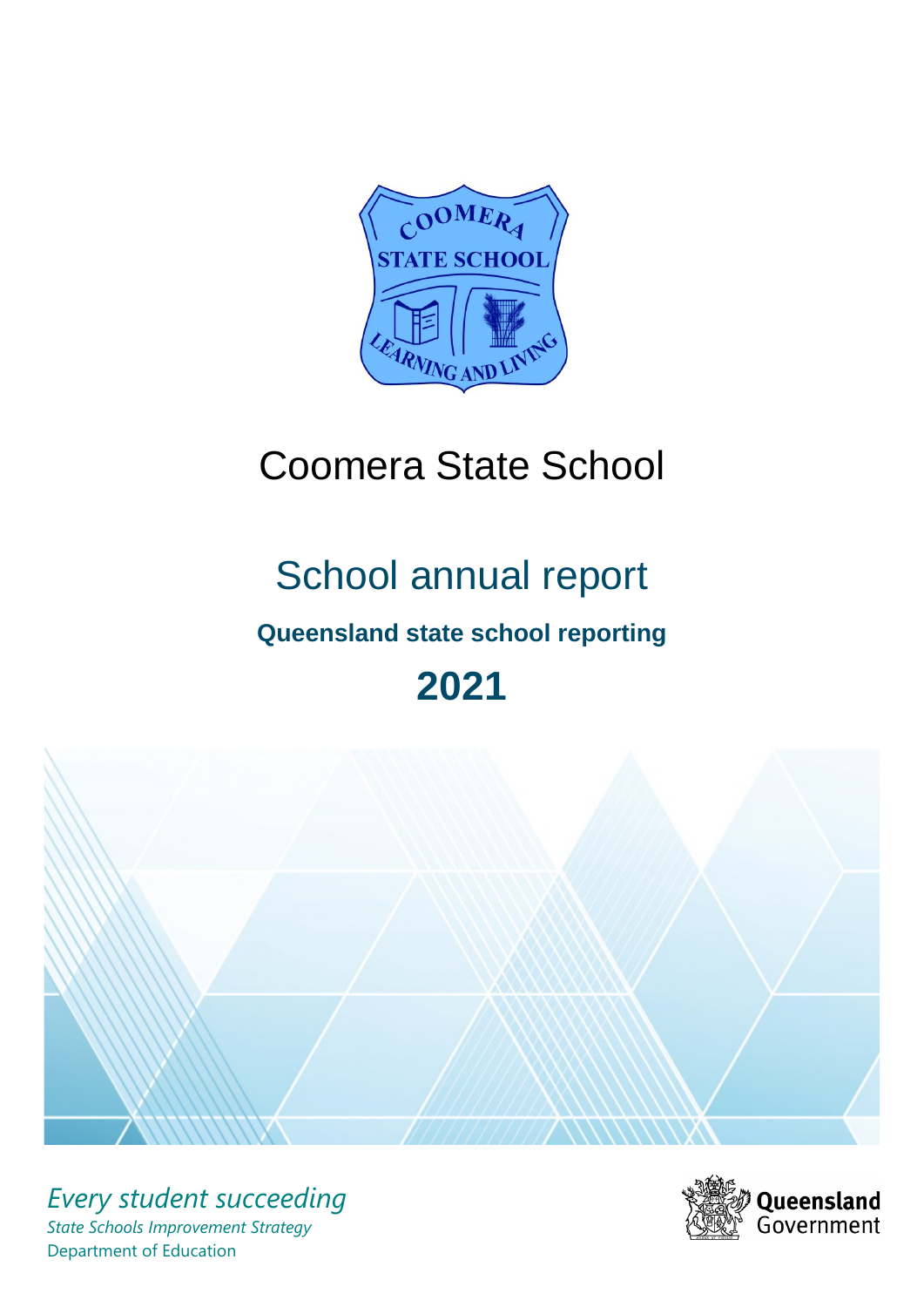

# Coomera State School

# School annual report

# **Queensland state school reporting**

# **2021**



*Every student succeeding State Schools Improvement Strategy* Department of Education

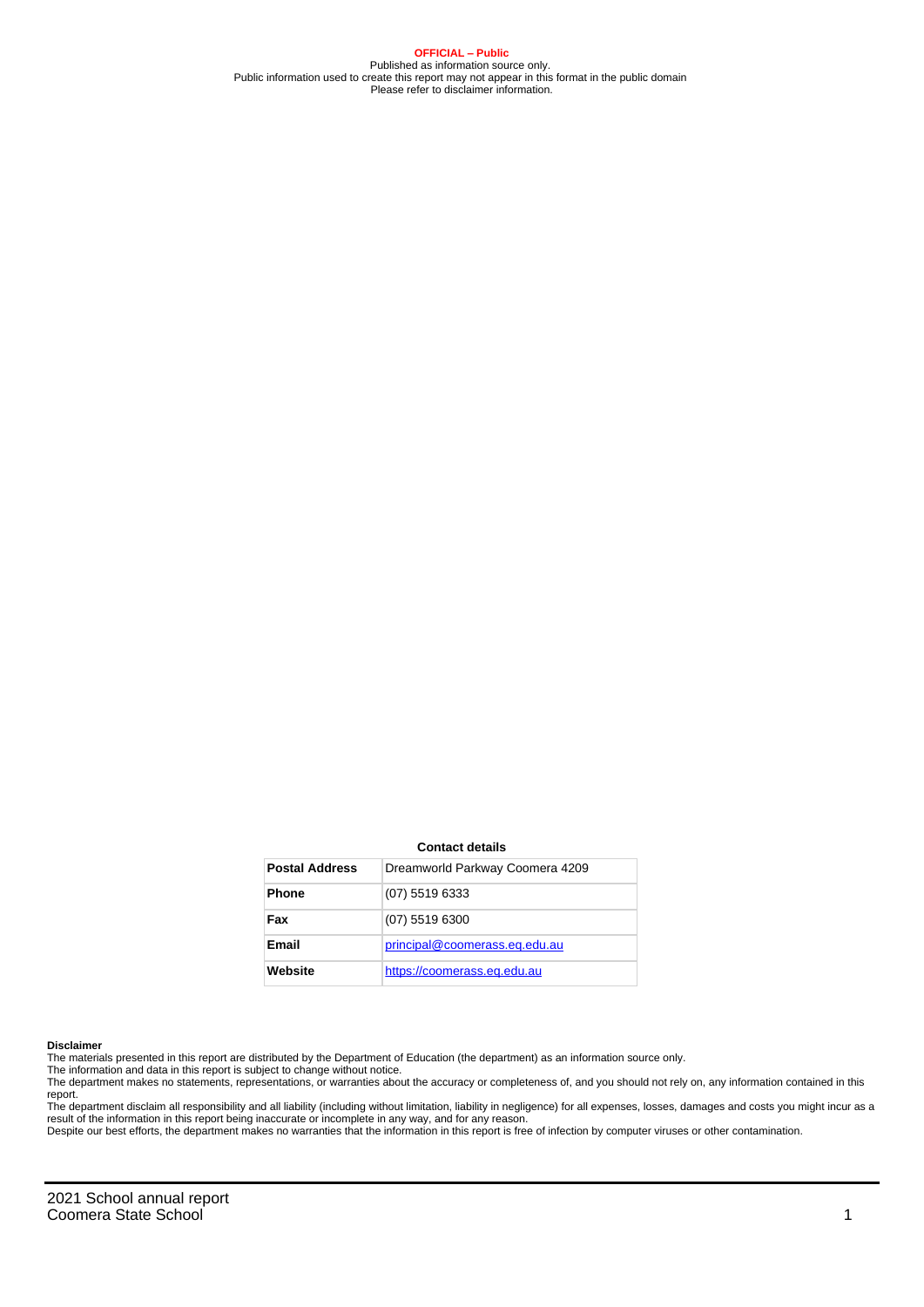**OFFICIAL – Public** Published as information source only. Public information used to create this report may not appear in this format in the public domain Please refer to disclaimer information.

#### **Contact details**

| <b>Postal Address</b> | Dreamworld Parkway Coomera 4209 |
|-----------------------|---------------------------------|
| <b>Phone</b>          | (07) 5519 6333                  |
| Fax                   | $(07)$ 5519 6300                |
| Email                 | principal@coomerass.eq.edu.au   |
| Website               | https://coomerass.eq.edu.au     |

#### **Disclaimer**

The materials presented in this report are distributed by the Department of Education (the department) as an information source only.

The information and data in this report is subject to change without notice.<br>The department makes no statements, representations, or warranties about the accuracy or completeness of, and you should not rely on, any informa report.

The department disclaim all responsibility and all liability (including without limitation, liability in negligence) for all expenses, losses, damages and costs you might incur as a result of the information in this report being inaccurate or incomplete in any way, and for any reason. Despite our best efforts, the department makes no warranties that the information in this report is free of infection by computer viruses or other contamination.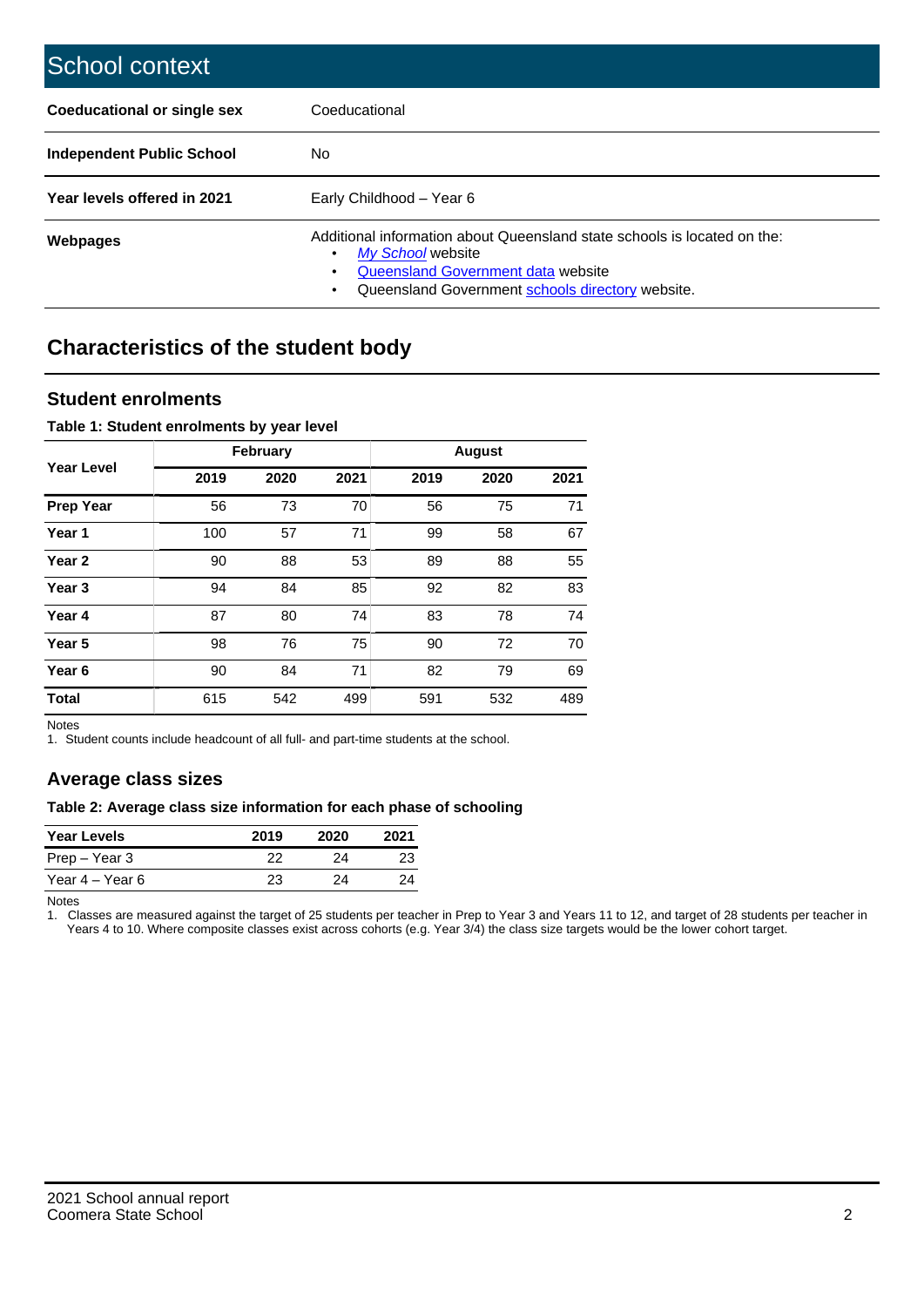| School context                   |                                                                                                                                                                                         |
|----------------------------------|-----------------------------------------------------------------------------------------------------------------------------------------------------------------------------------------|
| Coeducational or single sex      | Coeducational                                                                                                                                                                           |
| <b>Independent Public School</b> | No.                                                                                                                                                                                     |
| Year levels offered in 2021      | Early Childhood - Year 6                                                                                                                                                                |
| Webpages                         | Additional information about Queensland state schools is located on the:<br>My School website<br>Queensland Government data website<br>Queensland Government schools directory website. |

# **Characteristics of the student body**

### **Student enrolments**

#### **Table 1: Student enrolments by year level**

|                   |      | <b>February</b> |      |      | <b>August</b> |      |
|-------------------|------|-----------------|------|------|---------------|------|
| <b>Year Level</b> | 2019 | 2020            | 2021 | 2019 | 2020          | 2021 |
| <b>Prep Year</b>  | 56   | 73              | 70   | 56   | 75            | 71   |
| Year 1            | 100  | 57              | 71   | 99   | 58            | 67   |
| Year 2            | 90   | 88              | 53   | 89   | 88            | 55   |
| Year <sub>3</sub> | 94   | 84              | 85   | 92   | 82            | 83   |
| Year 4            | 87   | 80              | 74   | 83   | 78            | 74   |
| Year <sub>5</sub> | 98   | 76              | 75   | 90   | 72            | 70   |
| Year <sub>6</sub> | 90   | 84              | 71   | 82   | 79            | 69   |
| <b>Total</b>      | 615  | 542             | 499  | 591  | 532           | 489  |

Notes

1. Student counts include headcount of all full- and part-time students at the school.

## **Average class sizes**

#### **Table 2: Average class size information for each phase of schooling**

| <b>Year Levels</b> | 2019 | 2020 | 2021 |
|--------------------|------|------|------|
| Prep – Year 3      | 22   | 24   | 23   |
| Year 4 – Year 6    | 23   | 24   | 24   |

Notes

1. Classes are measured against the target of 25 students per teacher in Prep to Year 3 and Years 11 to 12, and target of 28 students per teacher in Years 4 to 10. Where composite classes exist across cohorts (e.g. Year 3/4) the class size targets would be the lower cohort target.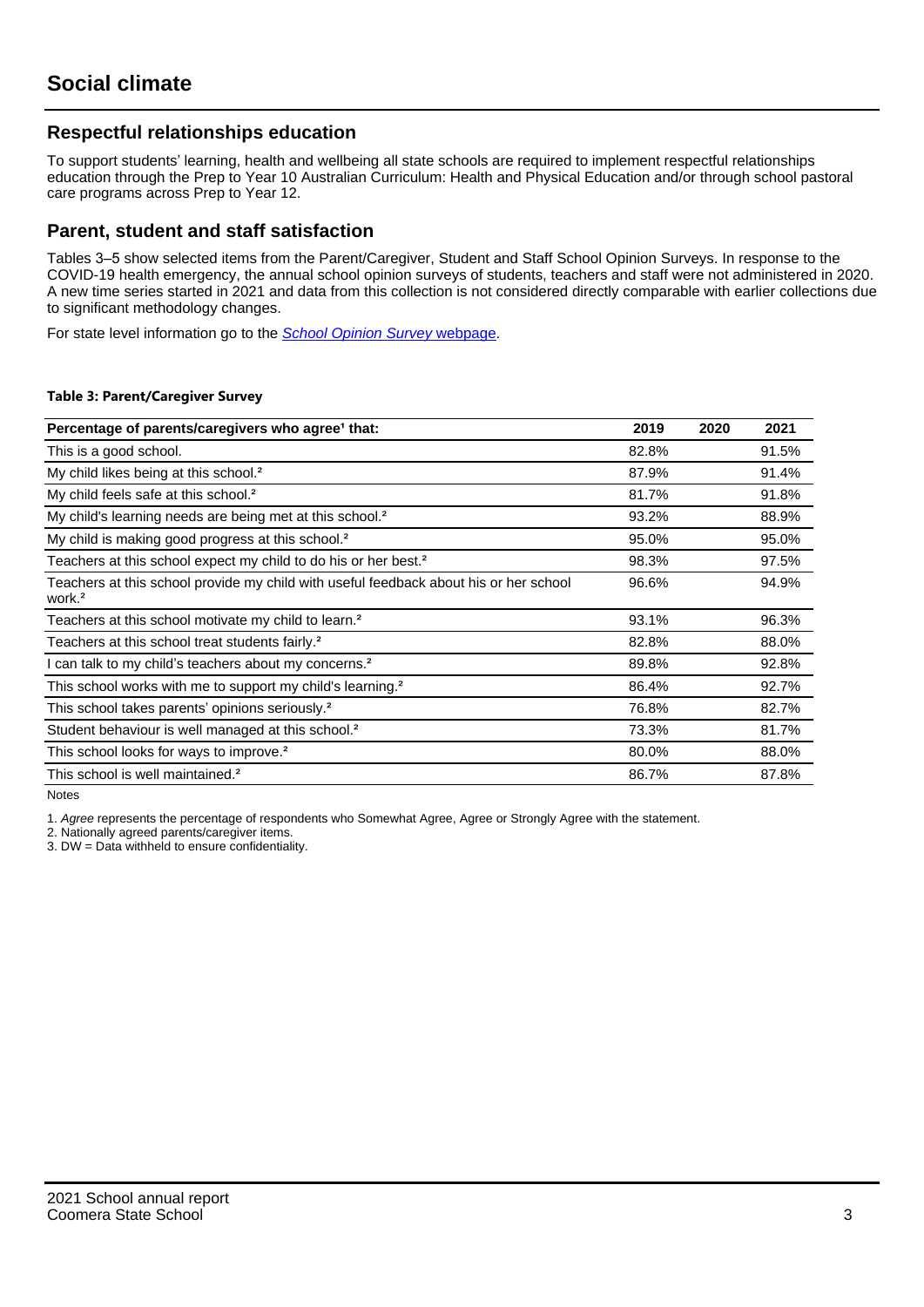## **Respectful relationships education**

To support students' learning, health and wellbeing all state schools are required to implement respectful relationships education through the Prep to Year 10 Australian Curriculum: Health and Physical Education and/or through school pastoral care programs across Prep to Year 12.

### **Parent, student and staff satisfaction**

Tables 3–5 show selected items from the Parent/Caregiver, Student and Staff School Opinion Surveys. In response to the COVID-19 health emergency, the annual school opinion surveys of students, teachers and staff were not administered in 2020. A new time series started in 2021 and data from this collection is not considered directly comparable with earlier collections due to significant methodology changes.

For state level information go to the **[School Opinion Survey](https://qed.qld.gov.au/publications/reports/statistics/schooling/schools/schoolopinionsurvey) webpage**.

#### **Table 3: Parent/Caregiver Survey**

| Percentage of parents/caregivers who agree <sup>1</sup> that:                                               | 2019  | 2020 | 2021  |
|-------------------------------------------------------------------------------------------------------------|-------|------|-------|
| This is a good school.                                                                                      | 82.8% |      | 91.5% |
| My child likes being at this school. <sup>2</sup>                                                           | 87.9% |      | 91.4% |
| My child feels safe at this school. <sup>2</sup>                                                            | 81.7% |      | 91.8% |
| My child's learning needs are being met at this school. <sup>2</sup>                                        | 93.2% |      | 88.9% |
| My child is making good progress at this school. <sup>2</sup>                                               | 95.0% |      | 95.0% |
| Teachers at this school expect my child to do his or her best. <sup>2</sup>                                 | 98.3% |      | 97.5% |
| Teachers at this school provide my child with useful feedback about his or her school<br>work. <sup>2</sup> | 96.6% |      | 94.9% |
| Teachers at this school motivate my child to learn. <sup>2</sup>                                            | 93.1% |      | 96.3% |
| Teachers at this school treat students fairly. <sup>2</sup>                                                 | 82.8% |      | 88.0% |
| I can talk to my child's teachers about my concerns. <sup>2</sup>                                           | 89.8% |      | 92.8% |
| This school works with me to support my child's learning. <sup>2</sup>                                      | 86.4% |      | 92.7% |
| This school takes parents' opinions seriously. <sup>2</sup>                                                 | 76.8% |      | 82.7% |
| Student behaviour is well managed at this school. <sup>2</sup>                                              | 73.3% |      | 81.7% |
| This school looks for ways to improve. <sup>2</sup>                                                         | 80.0% |      | 88.0% |
| This school is well maintained. <sup>2</sup>                                                                | 86.7% |      | 87.8% |

Notes

1. Agree represents the percentage of respondents who Somewhat Agree, Agree or Strongly Agree with the statement.

2. Nationally agreed parents/caregiver items.

3. DW = Data withheld to ensure confidentiality.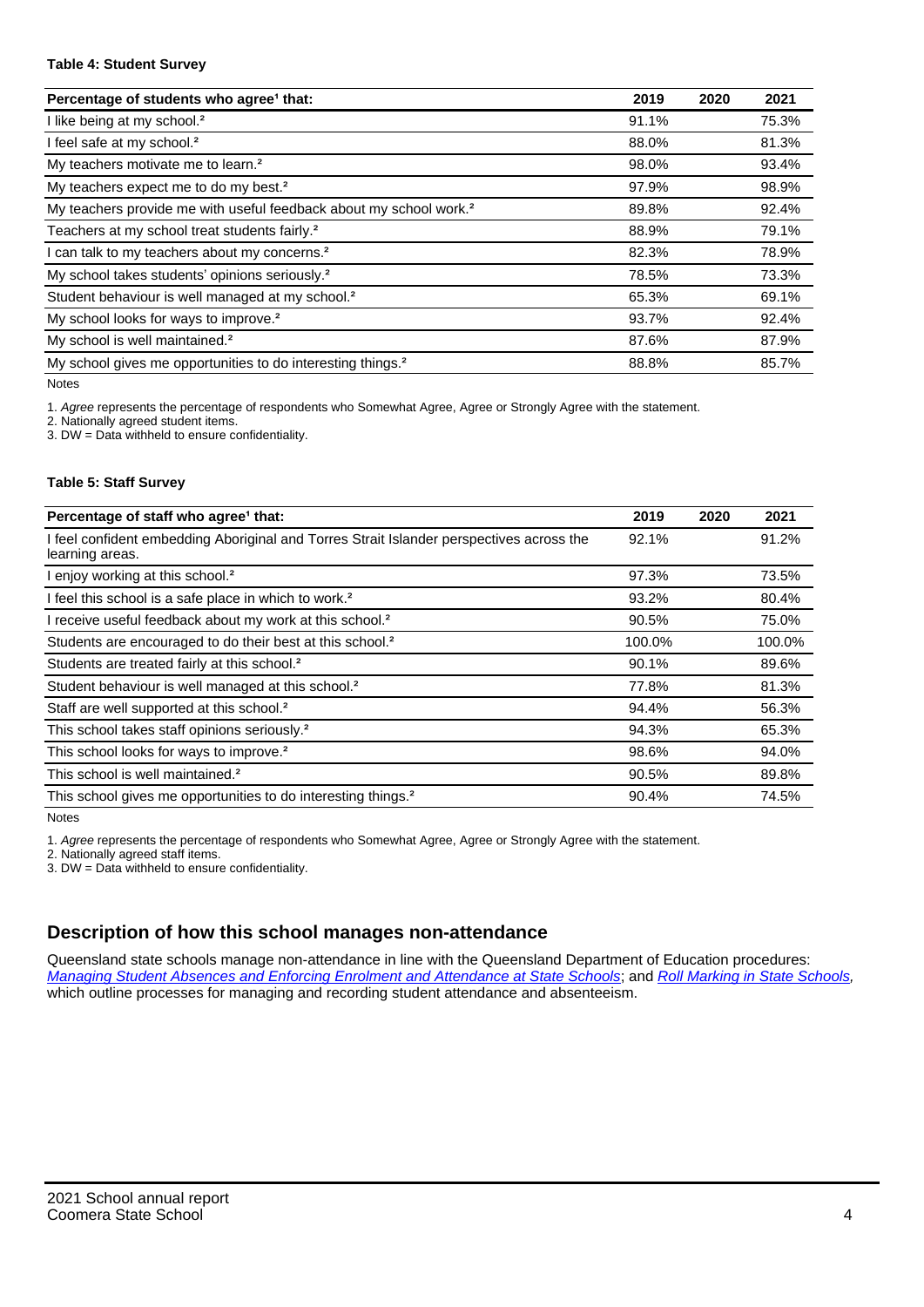#### **Table 4: Student Survey**

| Percentage of students who agree <sup>1</sup> that:                            | 2019  | 2020 | 2021  |
|--------------------------------------------------------------------------------|-------|------|-------|
| I like being at my school. <sup>2</sup>                                        | 91.1% |      | 75.3% |
| I feel safe at my school. <sup>2</sup>                                         | 88.0% |      | 81.3% |
| My teachers motivate me to learn. <sup>2</sup>                                 | 98.0% |      | 93.4% |
| My teachers expect me to do my best. <sup>2</sup>                              | 97.9% |      | 98.9% |
| My teachers provide me with useful feedback about my school work. <sup>2</sup> | 89.8% |      | 92.4% |
| Teachers at my school treat students fairly. <sup>2</sup>                      | 88.9% |      | 79.1% |
| I can talk to my teachers about my concerns. <sup>2</sup>                      | 82.3% |      | 78.9% |
| My school takes students' opinions seriously. <sup>2</sup>                     | 78.5% |      | 73.3% |
| Student behaviour is well managed at my school. <sup>2</sup>                   | 65.3% |      | 69.1% |
| My school looks for ways to improve. <sup>2</sup>                              | 93.7% |      | 92.4% |
| My school is well maintained. <sup>2</sup>                                     | 87.6% |      | 87.9% |
| My school gives me opportunities to do interesting things. <sup>2</sup>        | 88.8% |      | 85.7% |

Notes

1. Agree represents the percentage of respondents who Somewhat Agree, Agree or Strongly Agree with the statement.

2. Nationally agreed student items.

3. DW = Data withheld to ensure confidentiality.

#### **Table 5: Staff Survey**

| Percentage of staff who agree <sup>1</sup> that:                                                            | 2019   | 2020 | 2021   |
|-------------------------------------------------------------------------------------------------------------|--------|------|--------|
| I feel confident embedding Aboriginal and Torres Strait Islander perspectives across the<br>learning areas. | 92.1%  |      | 91.2%  |
| I enjoy working at this school. <sup>2</sup>                                                                | 97.3%  |      | 73.5%  |
| I feel this school is a safe place in which to work. <sup>2</sup>                                           | 93.2%  |      | 80.4%  |
| I receive useful feedback about my work at this school. <sup>2</sup>                                        | 90.5%  |      | 75.0%  |
| Students are encouraged to do their best at this school. <sup>2</sup>                                       | 100.0% |      | 100.0% |
| Students are treated fairly at this school. <sup>2</sup>                                                    | 90.1%  |      | 89.6%  |
| Student behaviour is well managed at this school. <sup>2</sup>                                              | 77.8%  |      | 81.3%  |
| Staff are well supported at this school. <sup>2</sup>                                                       | 94.4%  |      | 56.3%  |
| This school takes staff opinions seriously. <sup>2</sup>                                                    | 94.3%  |      | 65.3%  |
| This school looks for ways to improve. <sup>2</sup>                                                         | 98.6%  |      | 94.0%  |
| This school is well maintained. <sup>2</sup>                                                                | 90.5%  |      | 89.8%  |
| This school gives me opportunities to do interesting things. <sup>2</sup>                                   | 90.4%  |      | 74.5%  |

Notes

1. Agree represents the percentage of respondents who Somewhat Agree, Agree or Strongly Agree with the statement.

2. Nationally agreed staff items.

3. DW = Data withheld to ensure confidentiality.

## **Description of how this school manages non-attendance**

Queensland state schools manage non-attendance in line with the Queensland Department of Education procedures: [Managing Student Absences and Enforcing Enrolment and Attendance at State Schools](https://ppr.qed.qld.gov.au/pp/managing-student-absences-and-enforcing-enrolment-and-attendance-at-state-schools-procedure); and [Roll Marking in State Schools,](https://ppr.qed.qld.gov.au/pp/roll-marking-in-state-schools-procedure) which outline processes for managing and recording student attendance and absenteeism.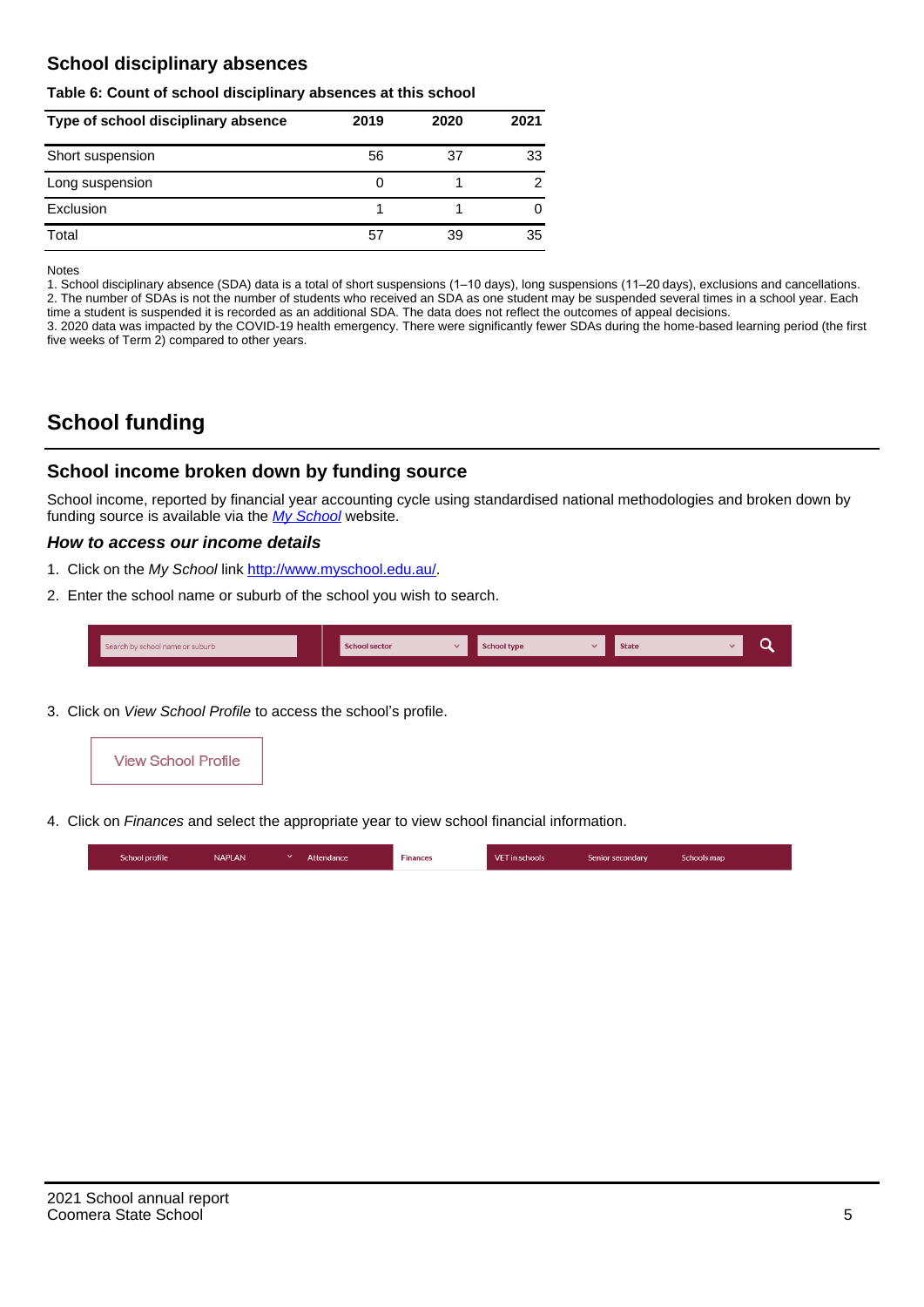## **School disciplinary absences**

#### **Table 6: Count of school disciplinary absences at this school**

| Type of school disciplinary absence | 2019 | 2020 | 2021          |
|-------------------------------------|------|------|---------------|
| Short suspension                    | 56   | 37   | 33            |
| Long suspension                     | O    |      | $\mathcal{P}$ |
| Exclusion                           |      |      |               |
| Total                               | 57   | 39   | 35            |

Notes

1. School disciplinary absence (SDA) data is a total of short suspensions (1–10 days), long suspensions (11–20 days), exclusions and cancellations. 2. The number of SDAs is not the number of students who received an SDA as one student may be suspended several times in a school year. Each time a student is suspended it is recorded as an additional SDA. The data does not reflect the outcomes of appeal decisions.

3. 2020 data was impacted by the COVID-19 health emergency. There were significantly fewer SDAs during the home-based learning period (the first five weeks of Term 2) compared to other years.

# **School funding**

## **School income broken down by funding source**

School income, reported by financial year accounting cycle using standardised national methodologies and broken down by funding source is available via the  $My$  School website.

#### **How to access our income details**

- 1. Click on the My School link <http://www.myschool.edu.au/>.
- 2. Enter the school name or suburb of the school you wish to search.

|  | Search by school name or suburb |  | <b>School sector</b> |  | $\sim$ and $\sim$ represents the set of $\sim$ | <b>State</b> |  |  |  |
|--|---------------------------------|--|----------------------|--|------------------------------------------------|--------------|--|--|--|
|--|---------------------------------|--|----------------------|--|------------------------------------------------|--------------|--|--|--|

3. Click on View School Profile to access the school's profile.



4. Click on Finances and select the appropriate year to view school financial information.

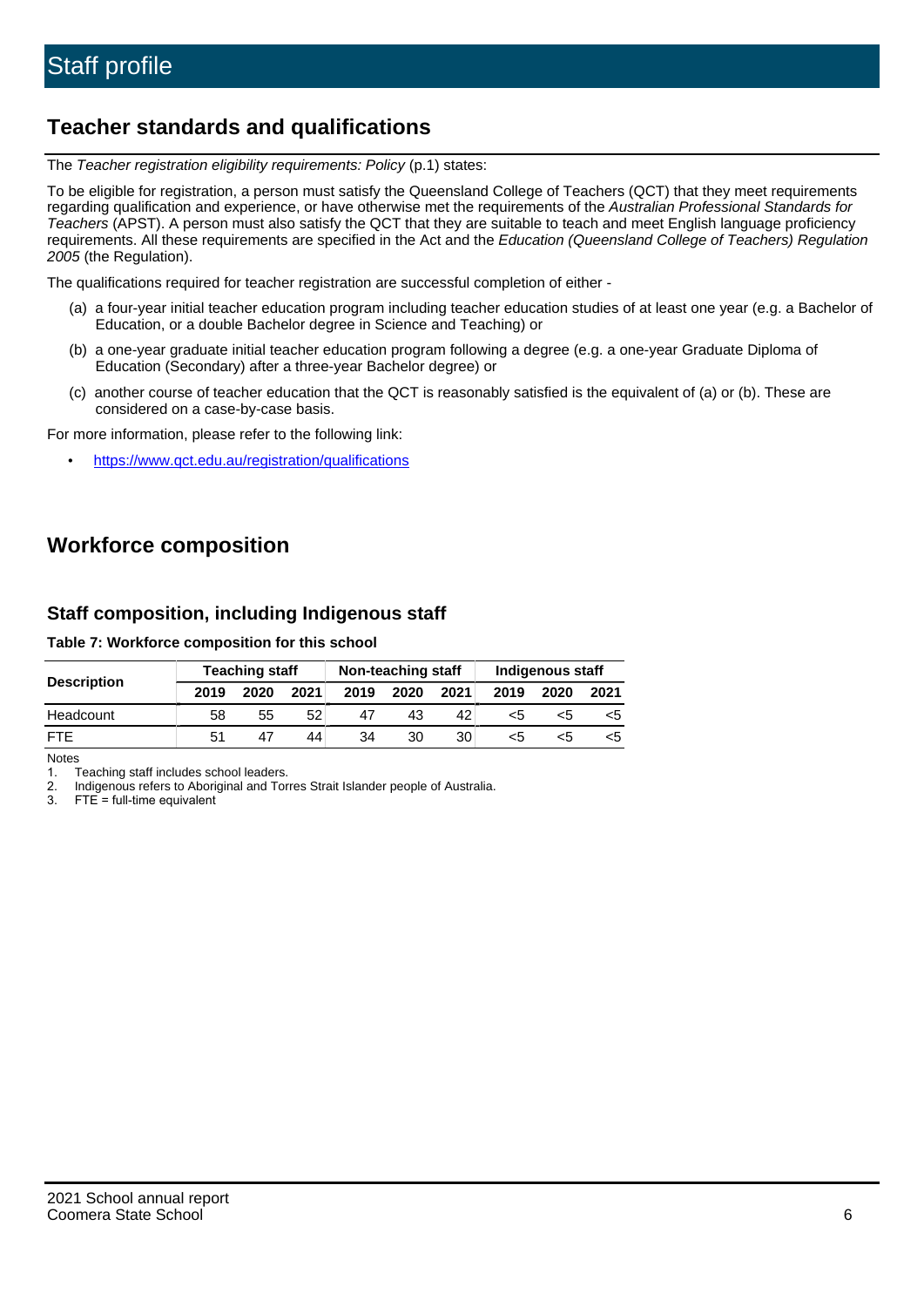# **Teacher standards and qualifications**

The Teacher registration eligibility requirements: Policy (p.1) states:

To be eligible for registration, a person must satisfy the Queensland College of Teachers (QCT) that they meet requirements regarding qualification and experience, or have otherwise met the requirements of the Australian Professional Standards for Teachers (APST). A person must also satisfy the QCT that they are suitable to teach and meet English language proficiency requirements. All these requirements are specified in the Act and the Education (Queensland College of Teachers) Regulation 2005 (the Regulation).

The qualifications required for teacher registration are successful completion of either -

- (a) a four-year initial teacher education program including teacher education studies of at least one year (e.g. a Bachelor of Education, or a double Bachelor degree in Science and Teaching) or
- (b) a one-year graduate initial teacher education program following a degree (e.g. a one-year Graduate Diploma of Education (Secondary) after a three-year Bachelor degree) or
- (c) another course of teacher education that the QCT is reasonably satisfied is the equivalent of (a) or (b). These are considered on a case-by-case basis.

For more information, please refer to the following link:

• <https://www.qct.edu.au/registration/qualifications>

# **Workforce composition**

## **Staff composition, including Indigenous staff**

#### **Table 7: Workforce composition for this school**

|                    |      | <b>Teaching staff</b> |      |      | Non-teaching staff |      | Indigenous staff |      |      |  |
|--------------------|------|-----------------------|------|------|--------------------|------|------------------|------|------|--|
| <b>Description</b> | 2019 | 2020                  | 2021 | 2019 | 2020               | 2021 | 2019             | 2020 | 2021 |  |
| Headcount          | 58   | 55                    | 52   | 47   | 43                 | 42   | <5               | <5   |      |  |
| <b>FTF</b>         | 51   | 47                    | 44   | 34   | 30                 | 30   | <5               | ה>   |      |  |

Notes

1. Teaching staff includes school leaders.

2. Indigenous refers to Aboriginal and Torres Strait Islander people of Australia.

3. FTE = full-time equivalent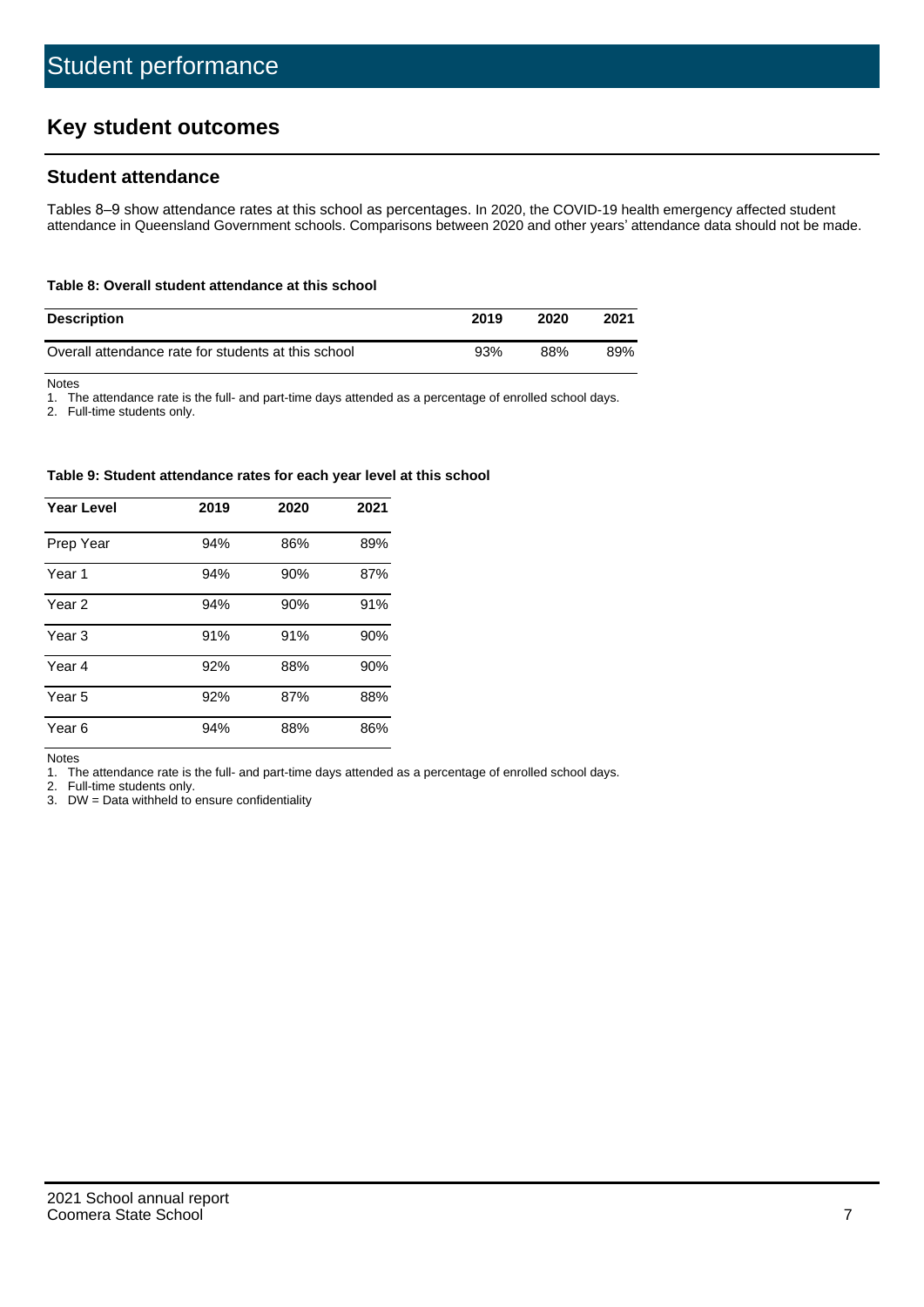# **Key student outcomes**

## **Student attendance**

Tables 8–9 show attendance rates at this school as percentages. In 2020, the COVID-19 health emergency affected student attendance in Queensland Government schools. Comparisons between 2020 and other years' attendance data should not be made.

#### **Table 8: Overall student attendance at this school**

| <b>Description</b>                                  | 2019 | 2020 | 2021 |
|-----------------------------------------------------|------|------|------|
| Overall attendance rate for students at this school | 93%  | 88%  | 89%  |

Notes

1. The attendance rate is the full- and part-time days attended as a percentage of enrolled school days.

2. Full-time students only.

#### **Table 9: Student attendance rates for each year level at this school**

| <b>Year Level</b> | 2019 | 2020 | 2021 |
|-------------------|------|------|------|
| Prep Year         | 94%  | 86%  | 89%  |
| Year <sub>1</sub> | 94%  | 90%  | 87%  |
| Year 2            | 94%  | 90%  | 91%  |
| Year 3            | 91%  | 91%  | 90%  |
| Year 4            | 92%  | 88%  | 90%  |
| Year 5            | 92%  | 87%  | 88%  |
| Year <sub>6</sub> | 94%  | 88%  | 86%  |

Notes

1. The attendance rate is the full- and part-time days attended as a percentage of enrolled school days.

2. Full-time students only.

3. DW = Data withheld to ensure confidentiality